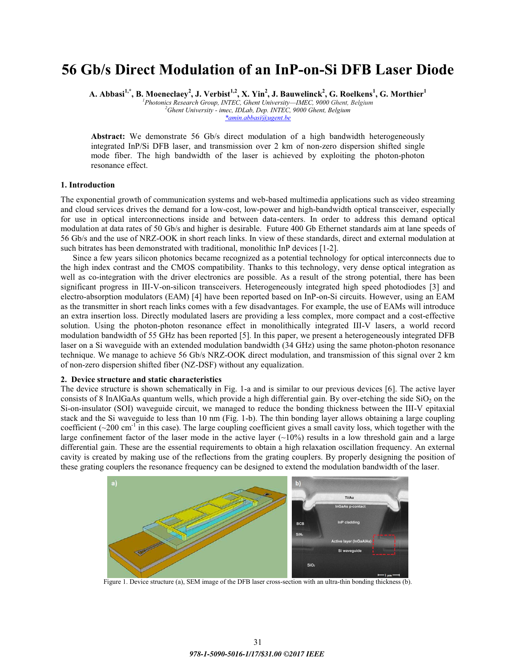# **56 Gb/s Direct Modulation of an InP-on-Si DFB Laser Diode**

 ${\bf A.~Abbasi}^{1,*}, {\bf B.~Moeneclaey}^2, {\bf J.~Verbist}^{1,2}, {\bf X.~Yin}^2, {\bf J.~Bauwelinek}^2, {\bf G.~Roelkens}^1, {\bf G.~Morthier}^1$ 

<sup>1</sup> Photonics Research Group, INTEC, Ghent University—IMEC, 9000 Ghent, Belgium *Photonics Research Group, INTEC, Ghent University²IMEC, 9000 Ghent, Belgium 2*  $*$ *amin. abbasi@ugent.be \*amin.abbasi@ugent.be*

**Abstract:** We demonstrate 56 Gb/s direct modulation of a high bandwidth heterogeneously integrated InP/Si DFB laser, and transmission over 2 km of non-zero dispersion shifted single mode fiber. The high bandwidth of the laser is achieved by exploiting the photon-photon resonance effect.

# **1. Introduction**

The exponential growth of communication systems and web-based multimedia applications such as video streaming and cloud services drives the demand for a low-cost, low-power and high-bandwidth optical transceiver, especially for use in optical interconnections inside and between data-centers. In order to address this demand optical modulation at data rates of 50 Gb/s and higher is desirable. Future 400 Gb Ethernet standards aim at lane speeds of 56 Gb/s and the use of NRZ-OOK in short reach links. In view of these standards, direct and external modulation at such bitrates has been demonstrated with traditional, monolithic InP devices [1-2].

Since a few years silicon photonics became recognized as a potential technology for optical interconnects due to the high index contrast and the CMOS compatibility. Thanks to this technology, very dense optical integration as well as co-integration with the driver electronics are possible. As a result of the strong potential, there has been significant progress in III-V-on-silicon transceivers. Heterogeneously integrated high speed photodiodes [3] and electro-absorption modulators (EAM) [4] have been reported based on InP-on-Si circuits. However, using an EAM as the transmitter in short reach links comes with a few disadvantages. For example, the use of EAMs will introduce an extra insertion loss. Directly modulated lasers are providing a less complex, more compact and a cost-effective solution. Using the photon-photon resonance effect in monolithically integrated III-V lasers, a world record modulation bandwidth of 55 GHz has been reported [5]. In this paper, we present a heterogeneously integrated DFB laser on a Si waveguide with an extended modulation bandwidth (34 GHz) using the same photon-photon resonance technique. We manage to achieve 56 Gb/s NRZ-OOK direct modulation, and transmission of this signal over 2 km of non-zero dispersion shifted fiber (NZ-DSF) without any equalization.

## **2. Device structure and static characteristics**

The device structure is shown schematically in Fig. 1-a and is similar to our previous devices [6]. The active layer consists of 8 InAlGaAs quantum wells, which provide a high differential gain. By over-etching the side SiO<sub>2</sub> on the Si-on-insulator (SOI) waveguide circuit, we managed to reduce the bonding thickness between the III-V epitaxial stack and the Si waveguide to less than 10 nm (Fig. 1-b). The thin bonding layer allows obtaining a large coupling coefficient  $(\sim 200 \text{ cm}^{-1})$  in this case). The large coupling coefficient gives a small cavity loss, which together with the large confinement factor of the laser mode in the active layer  $(\sim 10\%)$  results in a low threshold gain and a large differential gain. These are the essential requirements to obtain a high relaxation oscillation frequency. An external cavity is created by making use of the reflections from the grating couplers. By properly designing the position of these grating couplers the resonance frequency can be designed to extend the modulation bandwidth of the laser.



Figure 1. Device structure (a), SEM image of the DFB laser cross-section with an ultra-thin bonding thickness (b).